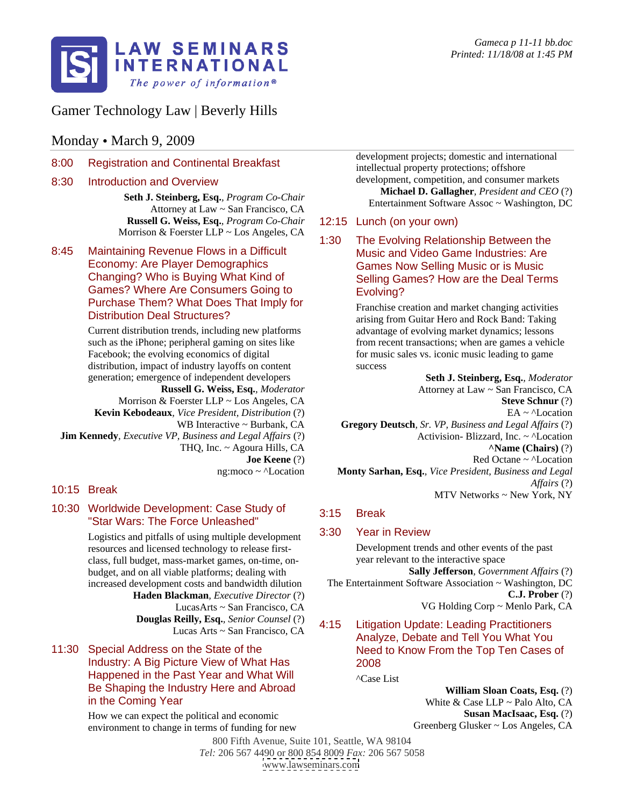

## Gamer Technology Law | Beverly Hills

### Monday • March 9, 2009

8:00 Registration and Continental Breakfast

- Attorney at Law ~ San Francisco, CA **Execution Contrament Software Assoc**<sup>5</sup> Washington, DC **Russell G. Weiss, Esq.***, Program Co-Chair* Morrison & Foerster LLP ~ Los Angeles, CA  $\overline{a}$  and  $\overline{a}$  and  $\overline{a}$  and  $\overline{a}$  and  $\overline{a}$  and  $\overline{a}$  and  $\overline{a}$  and  $\overline{a}$  and  $\overline{a}$  and  $\overline{a}$  and  $\overline{a}$  and  $\overline{a}$  and  $\overline{a}$  and  $\overline{a}$  a
- 8:45 Maintaining Revenue Flows in a Difficult Changing? Who is Buying What Kind of Games? Where Are Consumers Going to Evolving? Purchase Them? What Does That Imply for

Current distribution trends, including new platforms advantage of evolving market dynamics; lessons such as the iPhone; peripheral gaming on sites like Facebook; the evolving economics of digital for music sales vs. iconic music leading to game distribution, impact of industry layoffs on content success generation; emergence of independent developers

**Jim Kennedy***, Executive VP, Business and Legal Affairs* (?)

# 10:30 Worldwide Development: Case Study of 3:15 Break "Star Wars: The Force Unleashed"<br>Logistics and pitfells of using multiple development 3:30 Year in Review

Logistics and pitfalls of using multiple development resources and licensed technology to release first class, full budget, mass-market games, on-time, on budget, and on all viable platforms; dealing with

**Douglas Reilly, Esq.***, Senior Counsel* (?)

## 11:30 Special Address on the State of the Need to Know From the Top Ten Cases of Industry: A Big Picture View of What Has Happened in the Past Year and What Will  $_{\text{ACase List}}$ Be Shaping the Industry Here and Abroad<br>in the Coming Year

How we can expect the political and economic environment to change in terms of funding for new

8:30 Introduction and Overview example and the development, competition, and consumer markets **Seth J. Steinberg, Esq.**, *Program Co-Chair*<br> **Seth J. Steinberg, Esq.**, *Program Co-Chair*<br> **Extension of Settings, Asses.** Weshington DC development projects; domestic and international intellectual property protections; offshore development, competition, and consumer markets **Michael D. Gallagher***, President and CEO* (?) Entertainment Software Assoc ~ Washington, DC

#### 12:15 Lunch (on your own)

Economy: Are Player Demographics Games Now Selling Music or is Music 1:30 The Evolving Relationship Between the Music and Video Game Industries: Are Selling Games? How are the Deal Terms Evolving?

Distribution Deal Structures?<br>
arising from Guitar Hero and Rock Band: Taking Franchise creation and market changing activities from recent transactions; when are games a vehicle success and the state of the state state  $\sim$ 

**Russell G. Weiss, Esq.***, Moderator* Morrison & Foerster LLP ~ Los Angeles, CA Steve Schnur (?) **Kevin Kebodeaux***, Vice President, Distribution* (?) WB Interactive ~ Burbank, CA **Gregory Deutsch***, Sr. VP, Business and Legal Affairs* (?) THQ, Inc. ~ Agoura Hills, CA **Joe Keene** (?) Red Octane  $\sim \text{``Location}$ ng:moco ~ ^Location **Monty Sarhan, Esq.***, Vice President, Business and Legal*  10:15 Break  $\frac{10}{100}$  Break  $\frac{10}{100}$  Break  $\frac{10}{100}$  Break  $\frac{10}{100}$  Break  $\frac{10}{100}$  Break  $\frac{10}{100}$  Break  $\frac{10}{100}$  Break  $\frac{10}{100}$  Break  $\frac{10}{100}$  Break  $\frac{10}{100}$  Break  $\frac{10}{100}$  Break **Seth J. Steinberg, Esq.***, Moderator* Attorney at Law ~ San Francisco, CA **Steve Schnur** (?)  $EA \sim \Delta$ Location Activision- Blizzard, Inc. ~ ^Location **^Name (Chairs)** (?) Red Octane ~ ^Location *Affairs* (?) MTV Networks ~ New York, NY

#### 3:15 Break

#### 3:30 Year in Review

Development trends and other events of the past year relevant to the interactive space

**Sally Jefferson***, Government Affairs* (?)

increased development costs and bandwidth dilution The Entertainment Software Association ~ Washington, DC<br> **Haden Blackman**. *Executive Director* (?) **C.J. Prober** (?) **Haden Blackman***, Executive Director* (?)<br>
LucasArts ~ San Francisco, CA VG Holding Corp ~ Menlo Park, CA LucasArts ~ San Francisco, CA The Entertainment Software Association ~ Washington, DC **C.J. Prober** (?) VG Holding Corp ~ Menlo Park, CA

#### Lucas Arts  $\sim$  San Francisco, CA  $\sim$  2.15  $\sim$  2.15  $\sim$  2.15  $\sim$  2.15  $\sim$  2.15  $\sim$  2.15  $\sim$  2.15  $\sim$  2.15  $\sim$  2.15  $\sim$  2.15  $\sim$  2.15  $\sim$  2.15  $\sim$  2.15  $\sim$  2.15  $\sim$  2.15  $\sim$  2.15  $\sim$  2.15  $\sim$  2.15  $\sim$  2. **Litigation Update: Leading Practitioners** Analyze, Debate and Tell You What You 2008

^Case List

White  $& Case LLP \sim$  Palo Alto, CA **William Sloan Coats, Esq.** (?) White & Case LLP ~ Palo Alto, CA **Susan MacIsaac, Esq.** (?) Greenberg Glusker ~ Los Angeles, CA

800 Fifth Avenue, Suite 101, Seattle, WA 98104 *Tel:* 206 567 4490 or 800 854 8009 *Fax:* 206 567 5058 [www.lawseminars.com](http://www.lawseminars.com)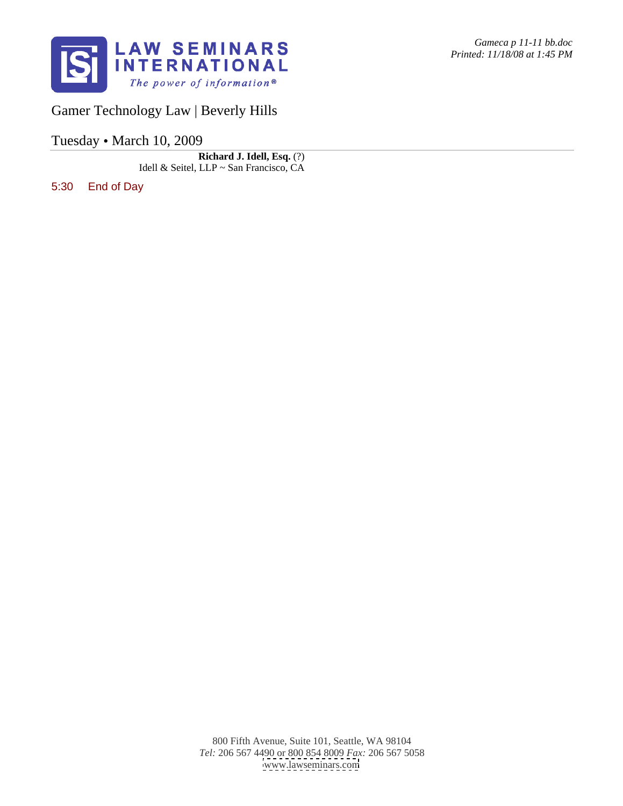

Gamer Technology Law | Beverly Hills

Tuesday · March 10, 2009

**Richard J. Idell, Esq.** (?)<br>Idell & Seitel, LLP ~ San Francisco, CA Idell & Seitel, LLP ~ San Francisco, CA

5:30 End of Day